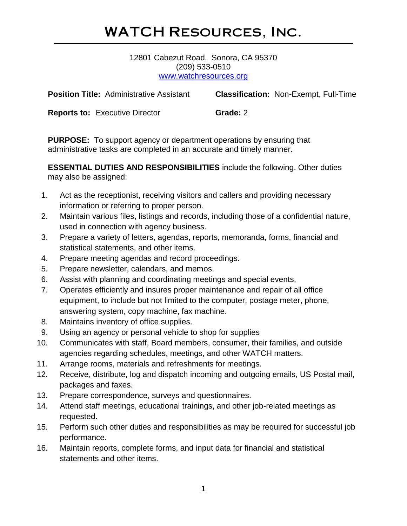# WATCH Resources, Inc.

12801 Cabezut Road, Sonora, CA 95370 (209) 533-0510 [www.watchresources.org](http://www.watchresources.org/)

**Position Title:** Administrative Assistant **Classification:** Non-Exempt, Full-Time

**Reports to: Executive Director <b>Grade:** 2

**PURPOSE:** To support agency or department operations by ensuring that administrative tasks are completed in an accurate and timely manner.

**ESSENTIAL DUTIES AND RESPONSIBILITIES** include the following. Other duties may also be assigned:

- 1. Act as the receptionist, receiving visitors and callers and providing necessary information or referring to proper person.
- 2. Maintain various files, listings and records, including those of a confidential nature, used in connection with agency business.
- 3. Prepare a variety of letters, agendas, reports, memoranda, forms, financial and statistical statements, and other items.
- 4. Prepare meeting agendas and record proceedings.
- 5. Prepare newsletter, calendars, and memos.
- 6. Assist with planning and coordinating meetings and special events.
- 7. Operates efficiently and insures proper maintenance and repair of all office equipment, to include but not limited to the computer, postage meter, phone, answering system, copy machine, fax machine.
- 8. Maintains inventory of office supplies.
- 9. Using an agency or personal vehicle to shop for supplies
- 10. Communicates with staff, Board members, consumer, their families, and outside agencies regarding schedules, meetings, and other WATCH matters.
- 11. Arrange rooms, materials and refreshments for meetings.
- 12. Receive, distribute, log and dispatch incoming and outgoing emails, US Postal mail, packages and faxes.
- 13. Prepare correspondence, surveys and questionnaires.
- 14. Attend staff meetings, educational trainings, and other job-related meetings as requested.
- 15. Perform such other duties and responsibilities as may be required for successful job performance.
- 16. Maintain reports, complete forms, and input data for financial and statistical statements and other items.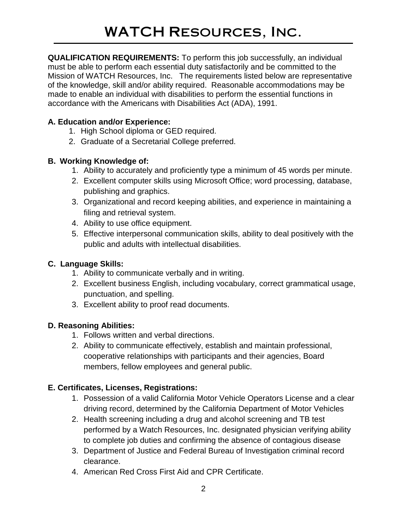**QUALIFICATION REQUIREMENTS:** To perform this job successfully, an individual must be able to perform each essential duty satisfactorily and be committed to the Mission of WATCH Resources, Inc. The requirements listed below are representative of the knowledge, skill and/or ability required. Reasonable accommodations may be made to enable an individual with disabilities to perform the essential functions in accordance with the Americans with Disabilities Act (ADA), 1991.

#### **A. Education and/or Experience:**

- 1. High School diploma or GED required.
- 2. Graduate of a Secretarial College preferred.

### **B. Working Knowledge of:**

- 1. Ability to accurately and proficiently type a minimum of 45 words per minute.
- 2. Excellent computer skills using Microsoft Office; word processing, database, publishing and graphics.
- 3. Organizational and record keeping abilities, and experience in maintaining a filing and retrieval system.
- 4. Ability to use office equipment.
- 5. Effective interpersonal communication skills, ability to deal positively with the public and adults with intellectual disabilities.

### **C. Language Skills:**

- 1. Ability to communicate verbally and in writing.
- 2. Excellent business English, including vocabulary, correct grammatical usage, punctuation, and spelling.
- 3. Excellent ability to proof read documents.

### **D. Reasoning Abilities:**

- 1. Follows written and verbal directions.
- 2. Ability to communicate effectively, establish and maintain professional, cooperative relationships with participants and their agencies, Board members, fellow employees and general public.

### **E. Certificates, Licenses, Registrations:**

- 1. Possession of a valid California Motor Vehicle Operators License and a clear driving record, determined by the California Department of Motor Vehicles
- 2. Health screening including a drug and alcohol screening and TB test performed by a Watch Resources, Inc. designated physician verifying ability to complete job duties and confirming the absence of contagious disease
- 3. Department of Justice and Federal Bureau of Investigation criminal record clearance.
- 4. American Red Cross First Aid and CPR Certificate.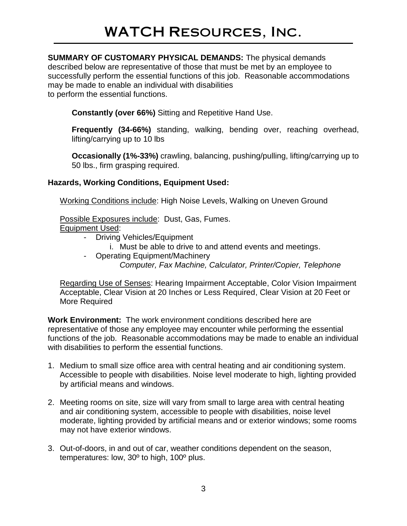# WATCH Resources, Inc.

**SUMMARY OF CUSTOMARY PHYSICAL DEMANDS:** The physical demands described below are representative of those that must be met by an employee to successfully perform the essential functions of this job. Reasonable accommodations may be made to enable an individual with disabilities to perform the essential functions.

**Constantly (over 66%)** Sitting and Repetitive Hand Use.

**Frequently (34-66%)** standing, walking, bending over, reaching overhead, lifting/carrying up to 10 lbs

**Occasionally (1%-33%)** crawling, balancing, pushing/pulling, lifting/carrying up to 50 lbs., firm grasping required.

#### **Hazards, Working Conditions, Equipment Used:**

Working Conditions include: High Noise Levels, Walking on Uneven Ground

Possible Exposures include: Dust, Gas, Fumes.

Equipment Used:

- Driving Vehicles/Equipment
	- i. Must be able to drive to and attend events and meetings.
- Operating Equipment/Machinery
	- *Computer, Fax Machine, Calculator, Printer/Copier, Telephone*

Regarding Use of Senses: Hearing Impairment Acceptable, Color Vision Impairment Acceptable, Clear Vision at 20 Inches or Less Required, Clear Vision at 20 Feet or More Required

**Work Environment:** The work environment conditions described here are representative of those any employee may encounter while performing the essential functions of the job. Reasonable accommodations may be made to enable an individual with disabilities to perform the essential functions.

- 1. Medium to small size office area with central heating and air conditioning system. Accessible to people with disabilities. Noise level moderate to high, lighting provided by artificial means and windows.
- 2. Meeting rooms on site, size will vary from small to large area with central heating and air conditioning system, accessible to people with disabilities, noise level moderate, lighting provided by artificial means and or exterior windows; some rooms may not have exterior windows.
- 3. Out-of-doors, in and out of car, weather conditions dependent on the season, temperatures: low, 30º to high, 100º plus.